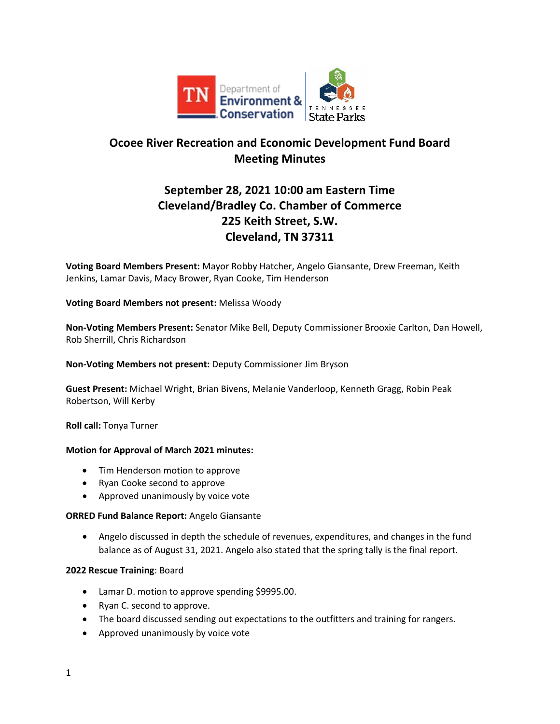

# **Ocoee River Recreation and Economic Development Fund Board Meeting Minutes**

# **September 28, 2021 10:00 am Eastern Time Cleveland/Bradley Co. Chamber of Commerce 225 Keith Street, S.W. Cleveland, TN 37311**

**Voting Board Members Present:** Mayor Robby Hatcher, Angelo Giansante, Drew Freeman, Keith Jenkins, Lamar Davis, Macy Brower, Ryan Cooke, Tim Henderson

## **Voting Board Members not present:** Melissa Woody

**Non-Voting Members Present:** Senator Mike Bell, Deputy Commissioner Brooxie Carlton, Dan Howell, Rob Sherrill, Chris Richardson

## **Non-Voting Members not present:** Deputy Commissioner Jim Bryson

**Guest Present:** Michael Wright, Brian Bivens, Melanie Vanderloop, Kenneth Gragg, Robin Peak Robertson, Will Kerby

**Roll call:** Tonya Turner

## **Motion for Approval of March 2021 minutes:**

- Tim Henderson motion to approve
- Ryan Cooke second to approve
- Approved unanimously by voice vote

## **ORRED Fund Balance Report:** Angelo Giansante

• Angelo discussed in depth the schedule of revenues, expenditures, and changes in the fund balance as of August 31, 2021. Angelo also stated that the spring tally is the final report.

## **2022 Rescue Training**: Board

- Lamar D. motion to approve spending \$9995.00.
- Ryan C. second to approve.
- The board discussed sending out expectations to the outfitters and training for rangers.
- Approved unanimously by voice vote